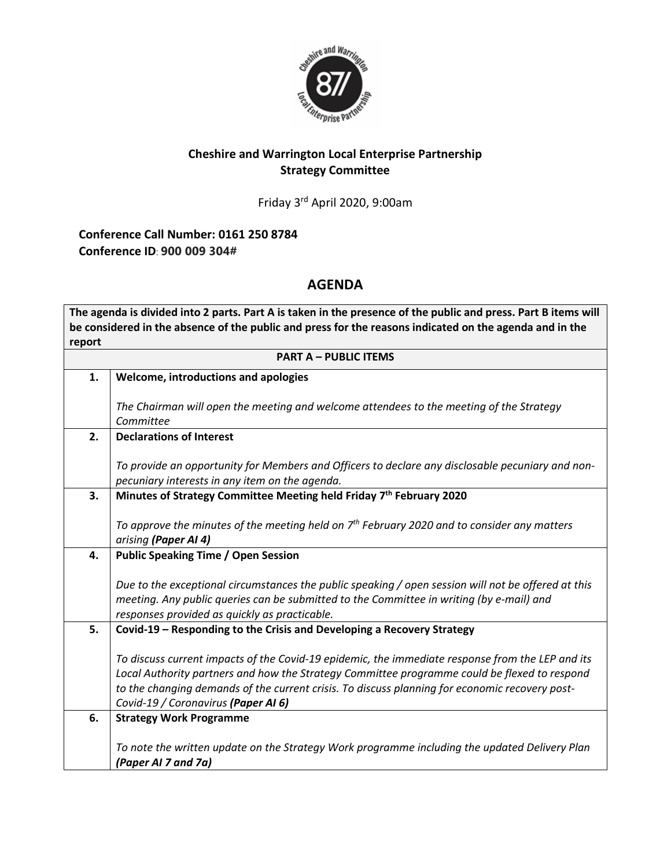

## **Cheshire and Warrington Local Enterprise Partnership Strategy Committee**

Friday 3 rd April 2020, 9:00am

**Conference Call Number: 0161 250 8784 Conference ID**: **900 009 304#** 

## **AGENDA**

**The agenda is divided into 2 parts. Part A is taken in the presence of the public and press. Part B items will be considered in the absence of the public and press for the reasons indicated on the agenda and in the report PART A – PUBLIC ITEMS 1. Welcome, introductions and apologies** *The Chairman will open the meeting and welcome attendees to the meeting of the Strategy Committee* **2. Declarations of Interest** *To provide an opportunity for Members and Officers to declare any disclosable pecuniary and nonpecuniary interests in any item on the agenda.* **3. Minutes of Strategy Committee Meeting held Friday 7 th February 2020** *To approve the minutes of the meeting held on 7 th February 2020 and to consider any matters arising (Paper AI 4)* **4. Public Speaking Time / Open Session** *Due to the exceptional circumstances the public speaking / open session will not be offered at this meeting. Any public queries can be submitted to the Committee in writing (by e-mail) and responses provided as quickly as practicable.* **5. Covid-19 – Responding to the Crisis and Developing a Recovery Strategy** *To discuss current impacts of the Covid-19 epidemic, the immediate response from the LEP and its Local Authority partners and how the Strategy Committee programme could be flexed to respond to the changing demands of the current crisis. To discuss planning for economic recovery post-Covid-19 / Coronavirus (Paper AI 6)* **6. Strategy Work Programme** *To note the written update on the Strategy Work programme including the updated Delivery Plan (Paper AI 7 and 7a)*